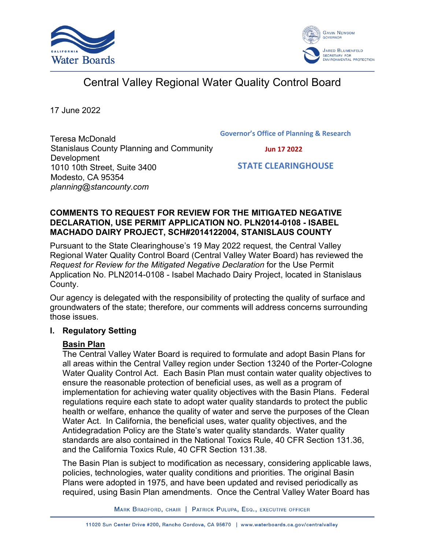



# Central Valley Regional Water Quality Control Board

17 June 2022

Teresa McDonald Stanislaus County Planning and Community Development 1010 10th Street, Suite 3400 Modesto, CA 95354 *planning@stancounty.com*

**Governor's Office of Planning & Research**

 **Jun 17 2022**

 **STATE CLEARINGHOUSE**

#### **COMMENTS TO REQUEST FOR REVIEW FOR THE MITIGATED NEGATIVE DECLARATION, USE PERMIT APPLICATION NO. PLN2014-0108 - ISABEL MACHADO DAIRY PROJECT, SCH#2014122004, STANISLAUS COUNTY**

Pursuant to the State Clearinghouse's 19 May 2022 request, the Central Valley Regional Water Quality Control Board (Central Valley Water Board) has reviewed the *Request for Review for the Mitigated Negative Declaration* for the Use Permit Application No. PLN2014-0108 - Isabel Machado Dairy Project, located in Stanislaus County.

Our agency is delegated with the responsibility of protecting the quality of surface and groundwaters of the state; therefore, our comments will address concerns surrounding those issues.

#### **I. Regulatory Setting**

## **Basin Plan**

The Central Valley Water Board is required to formulate and adopt Basin Plans for all areas within the Central Valley region under Section 13240 of the Porter-Cologne Water Quality Control Act. Each Basin Plan must contain water quality objectives to ensure the reasonable protection of beneficial uses, as well as a program of implementation for achieving water quality objectives with the Basin Plans. Federal regulations require each state to adopt water quality standards to protect the public health or welfare, enhance the quality of water and serve the purposes of the Clean Water Act. In California, the beneficial uses, water quality objectives, and the Antidegradation Policy are the State's water quality standards. Water quality standards are also contained in the National Toxics Rule, 40 CFR Section 131.36, and the California Toxics Rule, 40 CFR Section 131.38.

The Basin Plan is subject to modification as necessary, considering applicable laws, policies, technologies, water quality conditions and priorities. The original Basin Plans were adopted in 1975, and have been updated and revised periodically as required, using Basin Plan amendments. Once the Central Valley Water Board has

MARK BRADFORD, CHAIR | PATRICK PULUPA, ESQ., EXECUTIVE OFFICER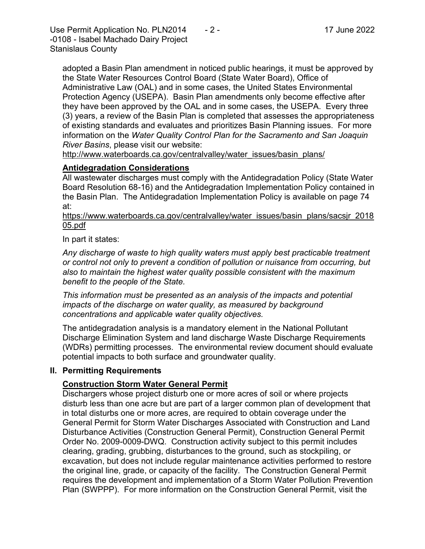Use Permit Application No. PLN2014  $\qquad 2 -$  17 June 2022 -0108 - Isabel Machado Dairy Project Stanislaus County

adopted a Basin Plan amendment in noticed public hearings, it must be approved by the State Water Resources Control Board (State Water Board), Office of Administrative Law (OAL) and in some cases, the United States Environmental Protection Agency (USEPA). Basin Plan amendments only become effective after they have been approved by the OAL and in some cases, the USEPA. Every three (3) years, a review of the Basin Plan is completed that assesses the appropriateness of existing standards and evaluates and prioritizes Basin Planning issues. For more information on the *Water Quality Control Plan for the Sacramento and San Joaquin River Basins*, please visit our website:

[http://www.waterboards.ca.gov/centralvalley/water\\_issues/basin\\_plans/](http://www.waterboards.ca.gov/centralvalley/water_issues/basin_plans/)

# **Antidegradation Considerations**

All wastewater discharges must comply with the Antidegradation Policy (State Water Board Resolution 68-16) and the Antidegradation Implementation Policy contained in the Basin Plan. The Antidegradation Implementation Policy is available on page 74 at:

https://www.waterboards.ca.gov/centralvalley/water\_issues/basin\_plans/sacsjr\_2018 05.pdf

In part it states:

*Any discharge of waste to high quality waters must apply best practicable treatment or control not only to prevent a condition of pollution or nuisance from occurring, but also to maintain the highest water quality possible consistent with the maximum benefit to the people of the State.*

*This information must be presented as an analysis of the impacts and potential impacts of the discharge on water quality, as measured by background concentrations and applicable water quality objectives.*

The antidegradation analysis is a mandatory element in the National Pollutant Discharge Elimination System and land discharge Waste Discharge Requirements (WDRs) permitting processes. The environmental review document should evaluate potential impacts to both surface and groundwater quality.

#### **II. Permitting Requirements**

## **Construction Storm Water General Permit**

Dischargers whose project disturb one or more acres of soil or where projects disturb less than one acre but are part of a larger common plan of development that in total disturbs one or more acres, are required to obtain coverage under the General Permit for Storm Water Discharges Associated with Construction and Land Disturbance Activities (Construction General Permit), Construction General Permit Order No. 2009-0009-DWQ. Construction activity subject to this permit includes clearing, grading, grubbing, disturbances to the ground, such as stockpiling, or excavation, but does not include regular maintenance activities performed to restore the original line, grade, or capacity of the facility. The Construction General Permit requires the development and implementation of a Storm Water Pollution Prevention Plan (SWPPP). For more information on the Construction General Permit, visit the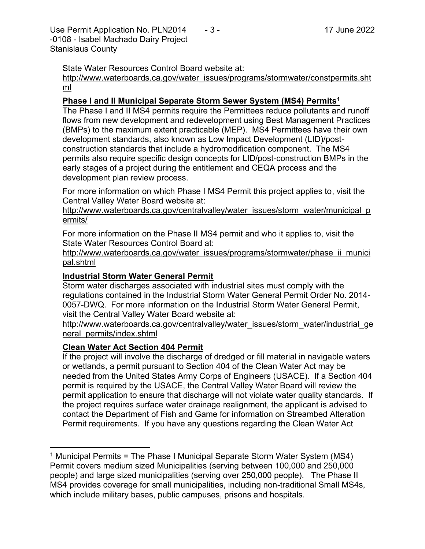Use Permit Application No. PLN2014  $\qquad 3 -$  17 June 2022 -0108 - Isabel Machado Dairy Project Stanislaus County

State Water Resources Control Board website at:

[http://www.waterboards.ca.gov/water\\_issues/programs/stormwater/constpermits.sht](http://www.waterboards.ca.gov/water_issues/programs/stormwater/constpermits.shtml) [ml](http://www.waterboards.ca.gov/water_issues/programs/stormwater/constpermits.shtml)

#### **Phase I and II Municipal Separate Storm Sewer System (MS4) Permits<sup>1</sup>**

The Phase I and II MS4 permits require the Permittees reduce pollutants and runoff flows from new development and redevelopment using Best Management Practices (BMPs) to the maximum extent practicable (MEP). MS4 Permittees have their own development standards, also known as Low Impact Development (LID)/postconstruction standards that include a hydromodification component. The MS4 permits also require specific design concepts for LID/post-construction BMPs in the early stages of a project during the entitlement and CEQA process and the development plan review process.

For more information on which Phase I MS4 Permit this project applies to, visit the Central Valley Water Board website at:

http://www.waterboards.ca.gov/centralvalley/water\_issues/storm\_water/municipal\_p ermits/

For more information on the Phase II MS4 permit and who it applies to, visit the State Water Resources Control Board at:

http://www.waterboards.ca.gov/water\_issues/programs/stormwater/phase\_ii\_munici pal.shtml

#### **Industrial Storm Water General Permit**

Storm water discharges associated with industrial sites must comply with the regulations contained in the Industrial Storm Water General Permit Order No. 2014- 0057-DWQ. For more information on the Industrial Storm Water General Permit, visit the Central Valley Water Board website at:

http://www.waterboards.ca.gov/centralvalley/water\_issues/storm\_water/industrial\_ge neral\_permits/index.shtml

## **Clean Water Act Section 404 Permit**

If the project will involve the discharge of dredged or fill material in navigable waters or wetlands, a permit pursuant to Section 404 of the Clean Water Act may be needed from the United States Army Corps of Engineers (USACE). If a Section 404 permit is required by the USACE, the Central Valley Water Board will review the permit application to ensure that discharge will not violate water quality standards. If the project requires surface water drainage realignment, the applicant is advised to contact the Department of Fish and Game for information on Streambed Alteration Permit requirements. If you have any questions regarding the Clean Water Act

<sup>&</sup>lt;sup>1</sup> Municipal Permits = The Phase I Municipal Separate Storm Water System (MS4) Permit covers medium sized Municipalities (serving between 100,000 and 250,000 people) and large sized municipalities (serving over 250,000 people). The Phase II MS4 provides coverage for small municipalities, including non-traditional Small MS4s, which include military bases, public campuses, prisons and hospitals.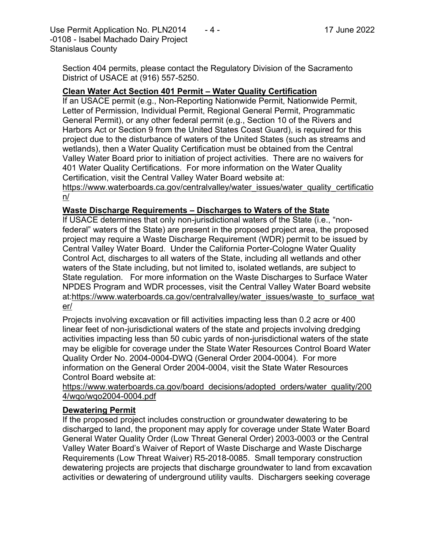Use Permit Application No. PLN2014  $-4$  - 17 June 2022 -0108 - Isabel Machado Dairy Project Stanislaus County

Section 404 permits, please contact the Regulatory Division of the Sacramento District of USACE at (916) 557-5250.

#### **Clean Water Act Section 401 Permit – Water Quality Certification**

If an USACE permit (e.g., Non-Reporting Nationwide Permit, Nationwide Permit, Letter of Permission, Individual Permit, Regional General Permit, Programmatic General Permit), or any other federal permit (e.g., Section 10 of the Rivers and Harbors Act or Section 9 from the United States Coast Guard), is required for this project due to the disturbance of waters of the United States (such as streams and wetlands), then a Water Quality Certification must be obtained from the Central Valley Water Board prior to initiation of project activities. There are no waivers for 401 Water Quality Certifications. For more information on the Water Quality Certification, visit the Central Valley Water Board website at:

https://www.waterboards.ca.gov/centralvalley/water\_issues/water\_quality\_certificatio n/

#### **Waste Discharge Requirements – Discharges to Waters of the State**

If USACE determines that only non-jurisdictional waters of the State (i.e., "nonfederal" waters of the State) are present in the proposed project area, the proposed project may require a Waste Discharge Requirement (WDR) permit to be issued by Central Valley Water Board. Under the California Porter-Cologne Water Quality Control Act, discharges to all waters of the State, including all wetlands and other waters of the State including, but not limited to, isolated wetlands, are subject to State regulation. For more information on the Waste Discharges to Surface Water NPDES Program and WDR processes, visit the Central Valley Water Board website at:https://www.waterboards.ca.gov/centralvalley/water\_issues/waste\_to\_surface\_wat er/

Projects involving excavation or fill activities impacting less than 0.2 acre or 400 linear feet of non-jurisdictional waters of the state and projects involving dredging activities impacting less than 50 cubic yards of non-jurisdictional waters of the state may be eligible for coverage under the State Water Resources Control Board Water Quality Order No. 2004-0004-DWQ (General Order 2004-0004). For more information on the General Order 2004-0004, visit the State Water Resources Control Board website at:

https://www.waterboards.ca.gov/board\_decisions/adopted\_orders/water\_quality/200 4/wqo/wqo2004-0004.pdf

#### **Dewatering Permit**

If the proposed project includes construction or groundwater dewatering to be discharged to land, the proponent may apply for coverage under State Water Board General Water Quality Order (Low Threat General Order) 2003-0003 or the Central Valley Water Board's Waiver of Report of Waste Discharge and Waste Discharge Requirements (Low Threat Waiver) R5-2018-0085. Small temporary construction dewatering projects are projects that discharge groundwater to land from excavation activities or dewatering of underground utility vaults. Dischargers seeking coverage